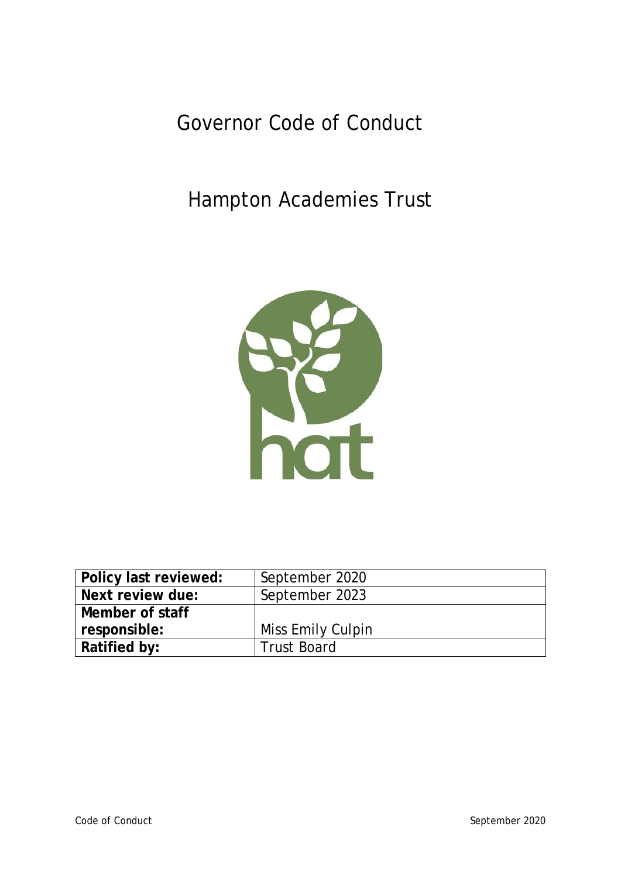Governor Code of Conduct

Hampton Academies Trust



| Policy last reviewed: | September 2020     |
|-----------------------|--------------------|
| Next review due:      | September 2023     |
| Member of staff       |                    |
| responsible:          | Miss Emily Culpin  |
| Ratified by:          | <b>Trust Board</b> |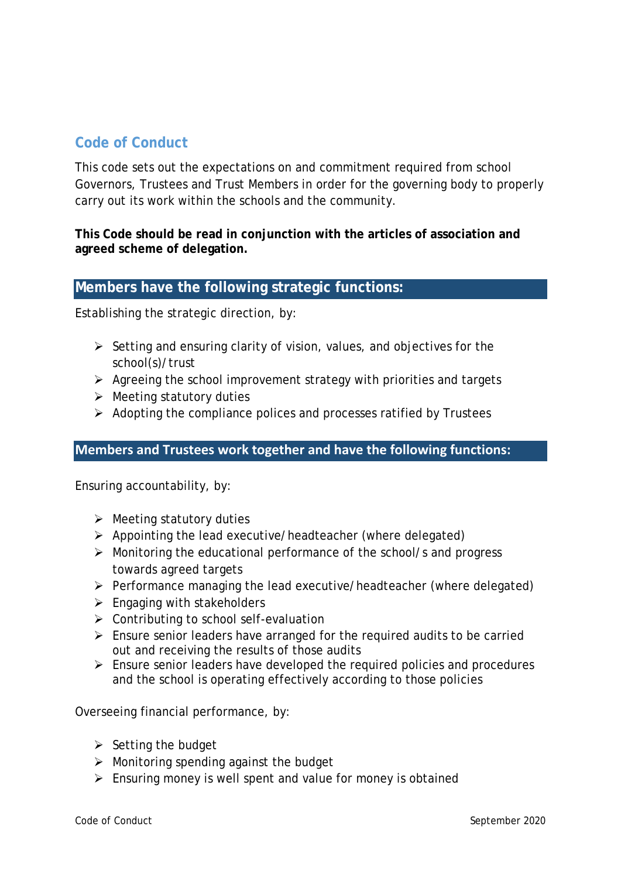# **Code of Conduct**

This code sets out the expectations on and commitment required from school Governors, Trustees and Trust Members in order for the governing body to properly carry out its work within the schools and the community.

**This Code should be read in conjunction with the articles of association and agreed scheme of delegation.** 

## **Members have the following strategic functions:**

Establishing the strategic direction, by:

- $\triangleright$  Setting and ensuring clarity of vision, values, and objectives for the school(s)/trust
- $\triangleright$  Agreeing the school improvement strategy with priorities and targets
- $\triangleright$  Meeting statutory duties
- $\triangleright$  Adopting the compliance polices and processes ratified by Trustees

### **Members and Trustees work together and have the following functions:**

Ensuring accountability, by:

- $\triangleright$  Meeting statutory duties
- $\triangleright$  Appointing the lead executive/headteacher (where delegated)
- $\triangleright$  Monitoring the educational performance of the school/s and progress towards agreed targets
- $\triangleright$  Performance managing the lead executive/headteacher (where delegated)
- $\triangleright$  Engaging with stakeholders
- $\triangleright$  Contributing to school self-evaluation
- $\triangleright$  Ensure senior leaders have arranged for the required audits to be carried out and receiving the results of those audits
- $\triangleright$  Ensure senior leaders have developed the required policies and procedures and the school is operating effectively according to those policies

Overseeing financial performance, by:

- $\triangleright$  Setting the budget
- $\triangleright$  Monitoring spending against the budget
- $\triangleright$  Ensuring money is well spent and value for money is obtained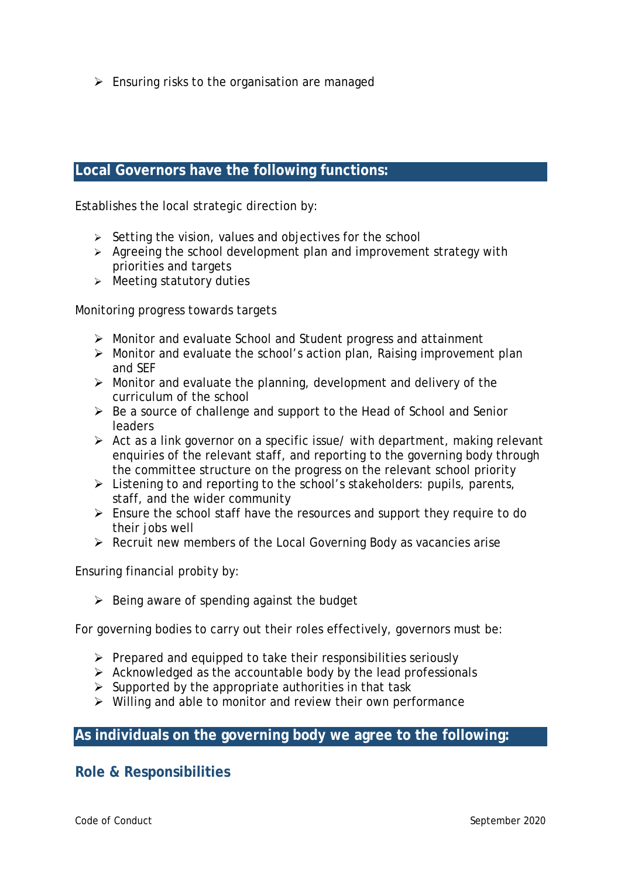$\triangleright$  Ensuring risks to the organisation are managed

# **Local Governors have the following functions:**

Establishes the local strategic direction by:

- $\triangleright$  Setting the vision, values and objectives for the school
- $\triangleright$  Agreeing the school development plan and improvement strategy with priorities and targets
- $\triangleright$  Meeting statutory duties

Monitoring progress towards targets

- Monitor and evaluate School and Student progress and attainment
- $\triangleright$  Monitor and evaluate the school's action plan, Raising improvement plan and SEF
- $\triangleright$  Monitor and evaluate the planning, development and delivery of the curriculum of the school
- $\triangleright$  Be a source of challenge and support to the Head of School and Senior leaders
- $\triangleright$  Act as a link governor on a specific issue/ with department, making relevant enquiries of the relevant staff, and reporting to the governing body through the committee structure on the progress on the relevant school priority
- $\triangleright$  Listening to and reporting to the school's stakeholders: pupils, parents, staff, and the wider community
- Ensure the school staff have the resources and support they require to do their jobs well
- $\triangleright$  Recruit new members of the Local Governing Body as vacancies arise

Ensuring financial probity by:

 $\triangleright$  Being aware of spending against the budget

For governing bodies to carry out their roles effectively, governors must be:

- $\triangleright$  Prepared and equipped to take their responsibilities seriously
- $\triangleright$  Acknowledged as the accountable body by the lead professionals
- $\triangleright$  Supported by the appropriate authorities in that task
- $\triangleright$  Willing and able to monitor and review their own performance

# **As individuals on the governing body we agree to the following:**

# **Role & Responsibilities**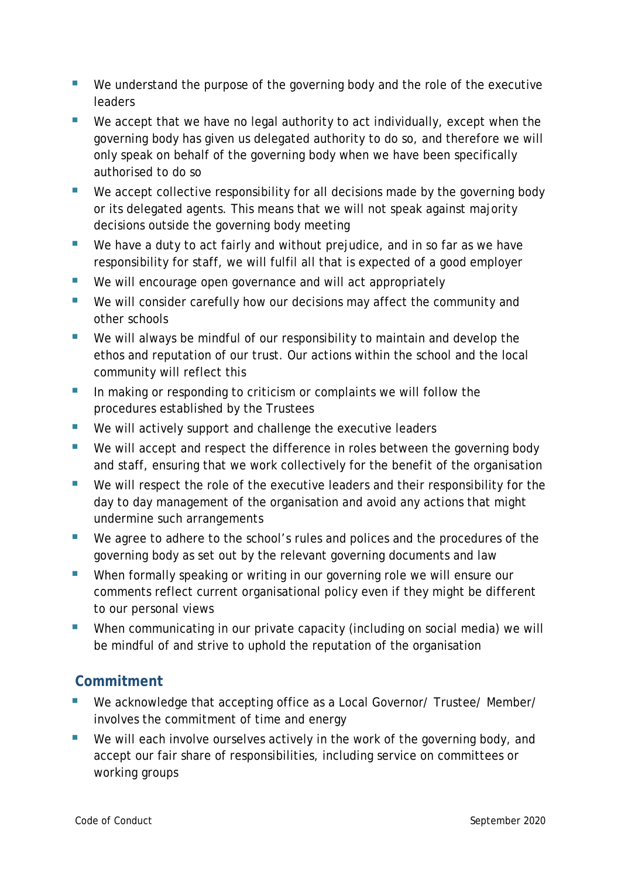- We understand the purpose of the governing body and the role of the executive **leaders**
- We accept that we have no legal authority to act individually, except when the governing body has given us delegated authority to do so, and therefore we will only speak on behalf of the governing body when we have been specifically authorised to do so
- We accept collective responsibility for all decisions made by the governing body or its delegated agents. This means that we will not speak against majority decisions outside the governing body meeting
- We have a duty to act fairly and without prejudice, and in so far as we have responsibility for staff, we will fulfil all that is expected of a good employer
- We will encourage open governance and will act appropriately
- We will consider carefully how our decisions may affect the community and other schools
- We will always be mindful of our responsibility to maintain and develop the ethos and reputation of our trust. Our actions within the school and the local community will reflect this
- In making or responding to criticism or complaints we will follow the procedures established by the Trustees
- We will actively support and challenge the executive leaders
- We will accept and respect the difference in roles between the governing body and staff, ensuring that we work collectively for the benefit of the organisation
- We will respect the role of the executive leaders and their responsibility for the day to day management of the organisation and avoid any actions that might undermine such arrangements
- We agree to adhere to the school's rules and polices and the procedures of the governing body as set out by the relevant governing documents and law
- When formally speaking or writing in our governing role we will ensure our comments reflect current organisational policy even if they might be different to our personal views
- **When communicating in our private capacity (including on social media) we will** be mindful of and strive to uphold the reputation of the organisation

# **Commitment**

- We acknowledge that accepting office as a Local Governor/ Trustee/ Member/ involves the commitment of time and energy
- We will each involve ourselves actively in the work of the governing body, and accept our fair share of responsibilities, including service on committees or working groups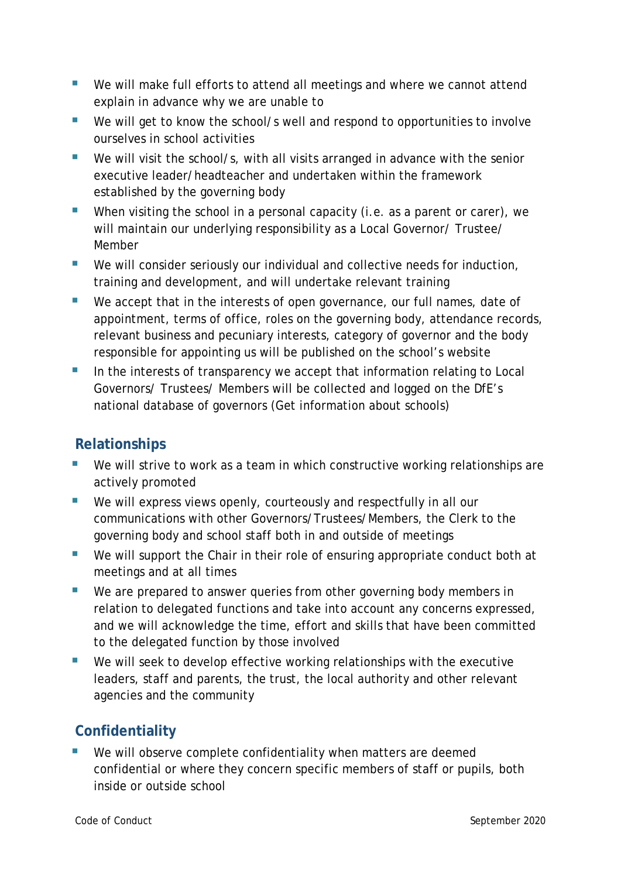- We will make full efforts to attend all meetings and where we cannot attend explain in advance why we are unable to
- We will get to know the school/s well and respond to opportunities to involve ourselves in school activities
- We will visit the school/s, with all visits arranged in advance with the senior executive leader/headteacher and undertaken within the framework established by the governing body
- When visiting the school in a personal capacity (i.e. as a parent or carer), we will maintain our underlying responsibility as a Local Governor/ Trustee/ Member
- We will consider seriously our individual and collective needs for induction, training and development, and will undertake relevant training
- We accept that in the interests of open governance, our full names, date of appointment, terms of office, roles on the governing body, attendance records, relevant business and pecuniary interests, category of governor and the body responsible for appointing us will be published on the school's website
- In the interests of transparency we accept that information relating to Local Governors/ Trustees/ Members will be collected and logged on the DfE's national database of governors (Get information about schools)

# **Relationships**

- We will strive to work as a team in which constructive working relationships are actively promoted
- We will express views openly, courteously and respectfully in all our communications with other Governors/Trustees/Members, the Clerk to the governing body and school staff both in and outside of meetings
- We will support the Chair in their role of ensuring appropriate conduct both at meetings and at all times
- We are prepared to answer queries from other governing body members in relation to delegated functions and take into account any concerns expressed, and we will acknowledge the time, effort and skills that have been committed to the delegated function by those involved
- We will seek to develop effective working relationships with the executive leaders, staff and parents, the trust, the local authority and other relevant agencies and the community

# **Confidentiality**

 We will observe complete confidentiality when matters are deemed confidential or where they concern specific members of staff or pupils, both inside or outside school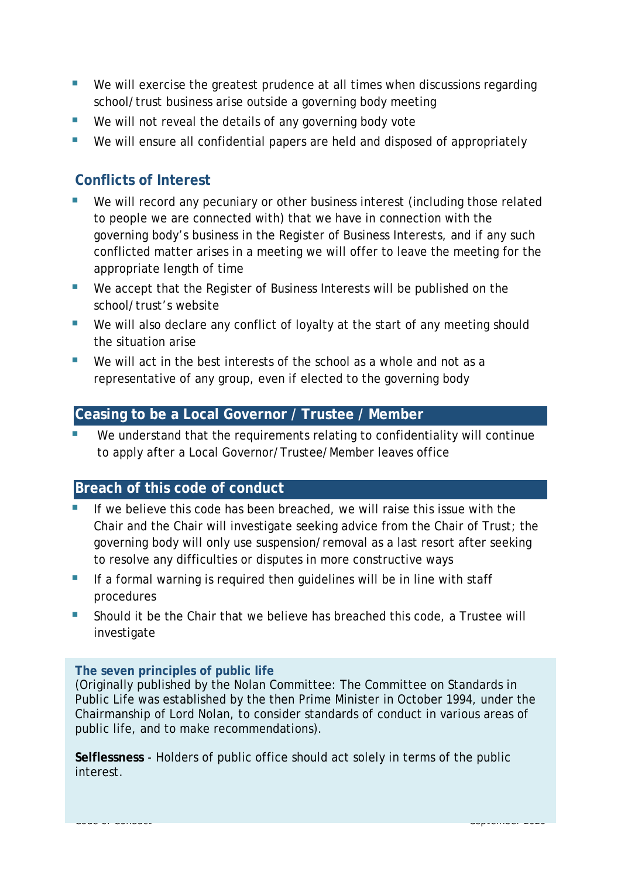- We will exercise the greatest prudence at all times when discussions regarding school/trust business arise outside a governing body meeting
- We will not reveal the details of any governing body vote
- We will ensure all confidential papers are held and disposed of appropriately

# **Conflicts of Interest**

- We will record any pecuniary or other business interest (including those related to people we are connected with) that we have in connection with the governing body's business in the Register of Business Interests, and if any such conflicted matter arises in a meeting we will offer to leave the meeting for the appropriate length of time
- We accept that the Register of Business Interests will be published on the school/trust's website
- We will also declare any conflict of loyalty at the start of any meeting should the situation arise
- $\blacksquare$  We will act in the best interests of the school as a whole and not as a representative of any group, even if elected to the governing body

#### **Ceasing to be a Local Governor / Trustee / Member**

 We understand that the requirements relating to confidentiality will continue to apply after a Local Governor/Trustee/Member leaves office

# **Breach of this code of conduct**

- If we believe this code has been breached, we will raise this issue with the Chair and the Chair will investigate seeking advice from the Chair of Trust; the governing body will only use suspension/removal as a last resort after seeking to resolve any difficulties or disputes in more constructive ways
- If a formal warning is required then guidelines will be in line with staff procedures
- Should it be the Chair that we believe has breached this code, a Trustee will investigate

#### **The seven principles of public life**

(Originally published by the Nolan Committee: The Committee on Standards in Public Life was established by the then Prime Minister in October 1994, under the Chairmanship of Lord Nolan, to consider standards of conduct in various areas of public life, and to make recommendations).

**Selflessness** - Holders of public office should act solely in terms of the public interest.